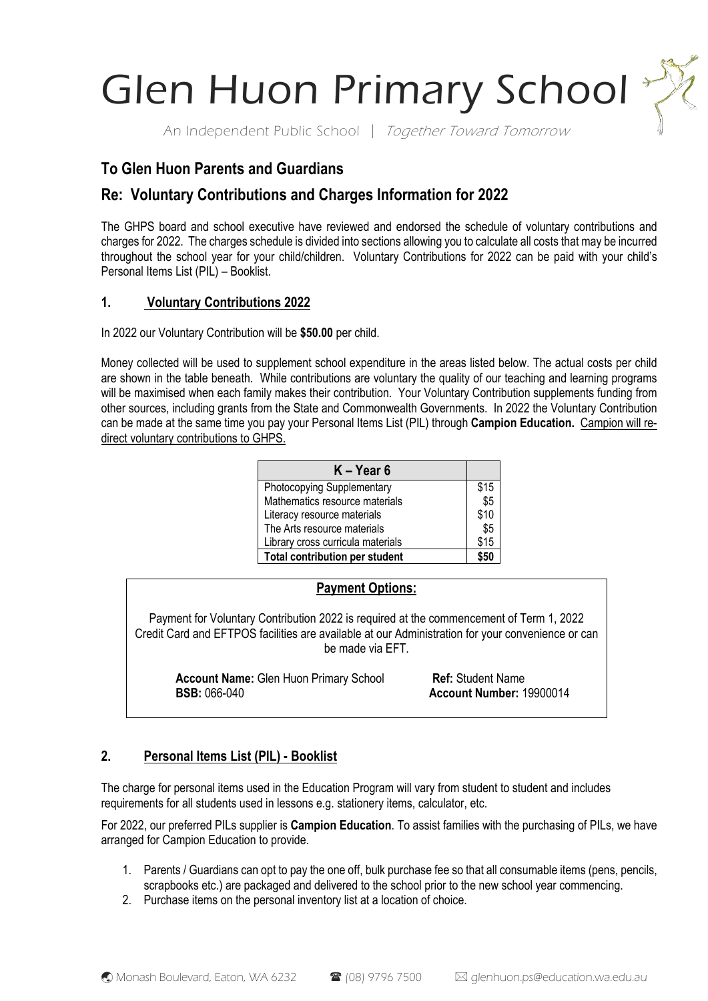Glen Huon Primary School\*

An Independent Public School | Together Toward Tomorrow

# **To Glen Huon Parents and Guardians**

# **Re: Voluntary Contributions and Charges Information for 2022**

The GHPS board and school executive have reviewed and endorsed the schedule of voluntary contributions and charges for 2022. The charges schedule is divided into sections allowing you to calculate all costs that may be incurred throughout the school year for your child/children. Voluntary Contributions for 2022 can be paid with your child's Personal Items List (PIL) – Booklist.

## **1. Voluntary Contributions 2022**

In 2022 our Voluntary Contribution will be **\$50.00** per child.

Money collected will be used to supplement school expenditure in the areas listed below. The actual costs per child are shown in the table beneath. While contributions are voluntary the quality of our teaching and learning programs will be maximised when each family makes their contribution. Your Voluntary Contribution supplements funding from other sources, including grants from the State and Commonwealth Governments. In 2022 the Voluntary Contribution can be made at the same time you pay your Personal Items List (PIL) through **Campion Education.** Campion will redirect voluntary contributions to GHPS.

| $K - Year 6$                          |      |
|---------------------------------------|------|
| Photocopying Supplementary            | \$15 |
| Mathematics resource materials        | \$5  |
| Literacy resource materials           | \$10 |
| The Arts resource materials           | \$5  |
| Library cross curricula materials     | \$15 |
| <b>Total contribution per student</b> |      |

| <b>Payment Options:</b> |  |
|-------------------------|--|
|                         |  |

Payment for Voluntary Contribution 2022 is required at the commencement of Term 1, 2022 Credit Card and EFTPOS facilities are available at our Administration for your convenience or can be made via EFT.

**Account Name:** Glen Huon Primary School **Ref:** Student Name **BSB:** 066-040 **Account Number:** 19900014

# **2. Personal Items List (PIL) - Booklist**

The charge for personal items used in the Education Program will vary from student to student and includes requirements for all students used in lessons e.g. stationery items, calculator, etc.

For 2022, our preferred PILs supplier is **Campion Education**. To assist families with the purchasing of PILs, we have arranged for Campion Education to provide.

- 1. Parents / Guardians can opt to pay the one off, bulk purchase fee so that all consumable items (pens, pencils, scrapbooks etc.) are packaged and delivered to the school prior to the new school year commencing.
- 2. Purchase items on the personal inventory list at a location of choice.